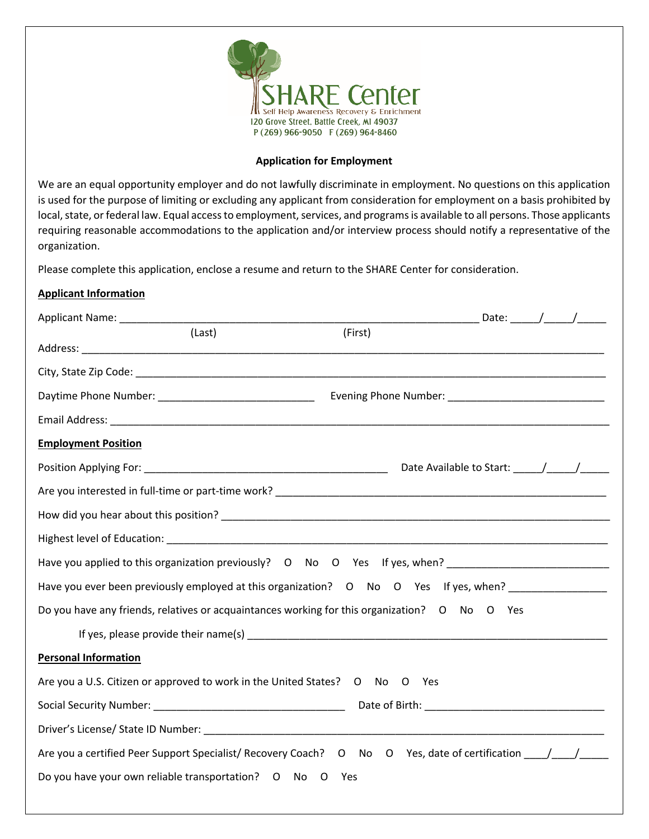

## **Application for Employment**

We are an equal opportunity employer and do not lawfully discriminate in employment. No questions on this application is used for the purpose of limiting or excluding any applicant from consideration for employment on a basis prohibited by local, state, or federal law. Equal access to employment, services, and programs is available to all persons. Those applicants requiring reasonable accommodations to the application and/or interview process should notify a representative of the organization.

Please complete this application, enclose a resume and return to the SHARE Center for consideration.

## **Applicant Information**

| Applicant Name: _______________                                                                                                                                                                                                |         |                               |  |  |
|--------------------------------------------------------------------------------------------------------------------------------------------------------------------------------------------------------------------------------|---------|-------------------------------|--|--|
| (Last)                                                                                                                                                                                                                         | (First) |                               |  |  |
|                                                                                                                                                                                                                                |         |                               |  |  |
|                                                                                                                                                                                                                                |         |                               |  |  |
|                                                                                                                                                                                                                                |         |                               |  |  |
|                                                                                                                                                                                                                                |         |                               |  |  |
| <b>Employment Position</b>                                                                                                                                                                                                     |         |                               |  |  |
|                                                                                                                                                                                                                                |         | Date Available to Start: //// |  |  |
| Are you interested in full-time or part-time work? Notified that the control of the control of the control of the control of the control of the control of the control of the control of the control of the control of the con |         |                               |  |  |
|                                                                                                                                                                                                                                |         |                               |  |  |
|                                                                                                                                                                                                                                |         |                               |  |  |
| Have you applied to this organization previously? O No O Yes If yes, when? _________________________                                                                                                                           |         |                               |  |  |
| Have you ever been previously employed at this organization? O No O Yes If yes, when? _____________                                                                                                                            |         |                               |  |  |
| Do you have any friends, relatives or acquaintances working for this organization? O No O Yes                                                                                                                                  |         |                               |  |  |
|                                                                                                                                                                                                                                |         |                               |  |  |
| <b>Personal Information</b>                                                                                                                                                                                                    |         |                               |  |  |
| Are you a U.S. Citizen or approved to work in the United States? O No O Yes                                                                                                                                                    |         |                               |  |  |
|                                                                                                                                                                                                                                |         |                               |  |  |
|                                                                                                                                                                                                                                |         |                               |  |  |
| Are you a certified Peer Support Specialist/ Recovery Coach? O No O Yes, date of certification _____/_____/                                                                                                                    |         |                               |  |  |
| Do you have your own reliable transportation? O No O Yes                                                                                                                                                                       |         |                               |  |  |
|                                                                                                                                                                                                                                |         |                               |  |  |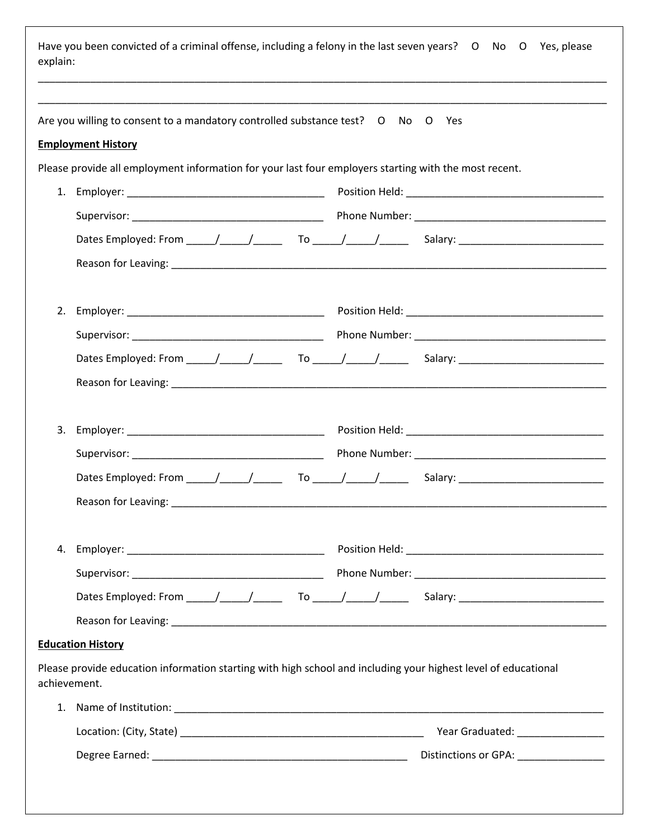| explain: | Have you been convicted of a criminal offense, including a felony in the last seven years? O No O Yes, please                  |                                      |
|----------|--------------------------------------------------------------------------------------------------------------------------------|--------------------------------------|
|          | Are you willing to consent to a mandatory controlled substance test? O No O Yes                                                |                                      |
|          | <b>Employment History</b>                                                                                                      |                                      |
|          | Please provide all employment information for your last four employers starting with the most recent.                          |                                      |
|          |                                                                                                                                |                                      |
|          |                                                                                                                                |                                      |
|          |                                                                                                                                |                                      |
|          |                                                                                                                                |                                      |
| 2.       |                                                                                                                                |                                      |
|          |                                                                                                                                |                                      |
|          |                                                                                                                                |                                      |
|          |                                                                                                                                |                                      |
|          |                                                                                                                                |                                      |
|          |                                                                                                                                |                                      |
|          |                                                                                                                                |                                      |
|          |                                                                                                                                |                                      |
|          | Reason for Leaving:                                                                                                            |                                      |
|          |                                                                                                                                |                                      |
|          |                                                                                                                                |                                      |
|          |                                                                                                                                |                                      |
|          |                                                                                                                                |                                      |
|          | <b>Education History</b>                                                                                                       |                                      |
|          | Please provide education information starting with high school and including your highest level of educational<br>achievement. |                                      |
|          |                                                                                                                                |                                      |
|          |                                                                                                                                |                                      |
|          |                                                                                                                                | Distinctions or GPA: _______________ |